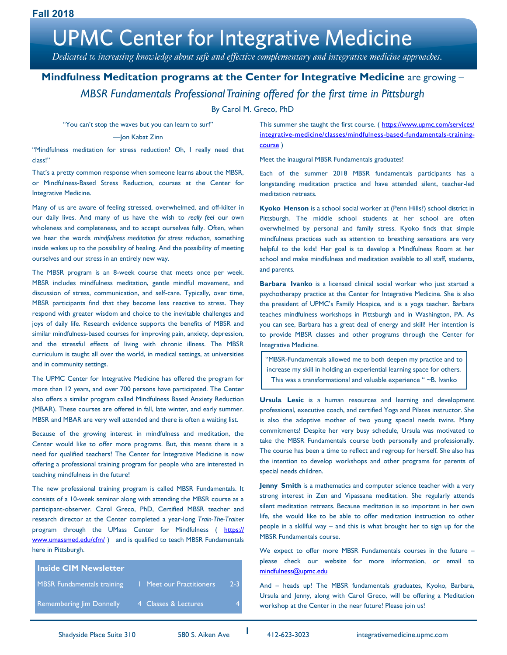Dedicated to increasing knowledge about safe and effective complementary and integrative medicine approaches.

## **Mindfulness Meditation programs at the Center for Integrative Medicine** are growing – *MBSR Fundamentals Professional Training offered for the first time in Pittsburgh*

### By Carol M. Greco, PhD

"You can't stop the waves but you can learn to surf"

#### —Jon Kabat Zinn

"Mindfulness meditation for stress reduction? Oh, I really need that class!"

That's a pretty common response when someone learns about the MBSR, or Mindfulness-Based Stress Reduction, courses at the Center for Integrative Medicine.

Many of us are aware of feeling stressed, overwhelmed, and off-kilter in our daily lives. And many of us have the wish to *really feel* our own wholeness and completeness, and to accept ourselves fully. Often, when we hear the words *mindfulness meditation for stress reduction,* something inside wakes up to the possibility of healing. And the possibility of meeting ourselves and our stress in an entirely new way.

The MBSR program is an 8-week course that meets once per week. MBSR includes mindfulness meditation, gentle mindful movement, and discussion of stress, communication, and self-care. Typically, over time, MBSR participants find that they become less reactive to stress. They respond with greater wisdom and choice to the inevitable challenges and joys of daily life. Research evidence supports the benefits of MBSR and similar mindfulness-based courses for improving pain, anxiety, depression, and the stressful effects of living with chronic illness. The MBSR curriculum is taught all over the world, in medical settings, at universities and in community settings.

The UPMC Center for Integrative Medicine has offered the program for more than 12 years, and over 700 persons have participated. The Center also offers a similar program called Mindfulness Based Anxiety Reduction (MBAR). These courses are offered in fall, late winter, and early summer. MBSR and MBAR are very well attended and there is often a waiting list.

Because of the growing interest in mindfulness and meditation, the Center would like to offer more programs. But, this means there is a need for qualified teachers! The Center for Integrative Medicine is now offering a professional training program for people who are interested in teaching mindfulness in the future!

The new professional training program is called MBSR Fundamentals. It consists of a 10-week seminar along with attending the MBSR course as a participant-observer. Carol Greco, PhD, Certified MBSR teacher and research director at the Center completed a year-long *Train-The-Trainer* program through the UMass Center for Mindfulness ( [https://](https://www.umassmed.edu/cfm/) [www.umassmed.edu/cfm/](https://www.umassmed.edu/cfm/) ) and is qualified to teach MBSR Fundamentals here in Pittsburgh.

| <b>Inside CIM Newsletter</b>    |                          |         |
|---------------------------------|--------------------------|---------|
| MBSR Fundamentals training      | I Meet our Practitioners | $2 - 3$ |
| <b>Remembering Jim Donnelly</b> | 4 Classes & Lectures     |         |

This summer she taught the first course. ( [https://www.upmc.com/services/](https://www.upmc.com/services/integrative-medicine/classes/mindfulness-based-fundamentals-training-course) [integrative-medicine/classes/mindfulness-based-fundamentals-training](https://www.upmc.com/services/integrative-medicine/classes/mindfulness-based-fundamentals-training-course)[course](https://www.upmc.com/services/integrative-medicine/classes/mindfulness-based-fundamentals-training-course) )

Meet the inaugural MBSR Fundamentals graduates!

Each of the summer 2018 MBSR fundamentals participants has a longstanding meditation practice and have attended silent, teacher-led meditation retreats.

**Kyoko Henson** is a school social worker at (Penn Hills?) school district in Pittsburgh. The middle school students at her school are often overwhelmed by personal and family stress. Kyoko finds that simple mindfulness practices such as attention to breathing sensations are very helpful to the kids! Her goal is to develop a Mindfulness Room at her school and make mindfulness and meditation available to all staff, students, and parents.

**Barbara Ivanko** is a licensed clinical social worker who just started a psychotherapy practice at the Center for Integrative Medicine. She is also the president of UPMC's Family Hospice, and is a yoga teacher. Barbara teaches mindfulness workshops in Pittsburgh and in Washington, PA. As you can see, Barbara has a great deal of energy and skill! Her intention is to provide MBSR classes and other programs through the Center for Integrative Medicine.

"MBSR-Fundamentals allowed me to both deepen my practice and to increase my skill in holding an experiential learning space for others. This was a transformational and valuable experience " ~B. Ivanko

**Ursula Lesic** is a human resources and learning and development professional, executive coach, and certified Yoga and Pilates instructor. She is also the adoptive mother of two young special needs twins. Many commitments! Despite her very busy schedule, Ursula was motivated to take the MBSR Fundamentals course both personally and professionally. The course has been a time to reflect and regroup for herself. She also has the intention to develop workshops and other programs for parents of special needs children.

**Jenny Smith** is a mathematics and computer science teacher with a very strong interest in Zen and Vipassana meditation. She regularly attends silent meditation retreats. Because meditation is so important in her own life, she would like to be able to offer meditation instruction to other people in a skillful way – and this is what brought her to sign up for the MBSR Fundamentals course.

We expect to offer more MBSR Fundamentals courses in the future – please check our website for more information, or email to [mindfulness@upmc.edu](mailto:mindfulness@upmc.edu)

And – heads up! The MBSR fundamentals graduates, Kyoko, Barbara, Ursula and Jenny, along with Carol Greco, will be offering a Meditation workshop at the Center in the near future! Please join us!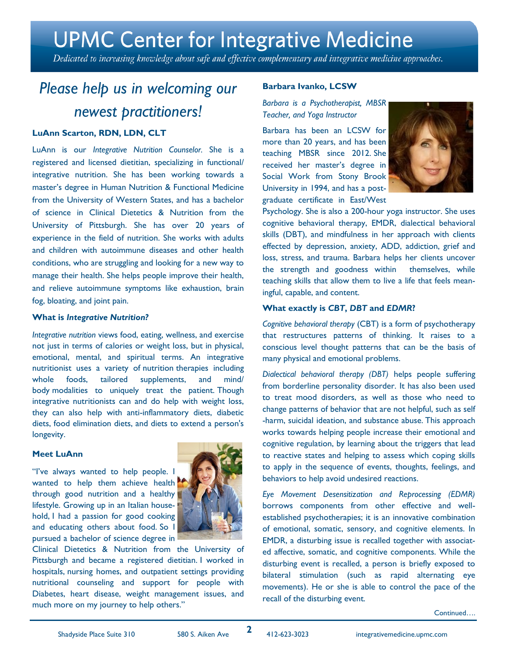Dedicated to increasing knowledge about safe and effective complementary and integrative medicine approaches.

## *Please help us in welcoming our newest practitioners!*

### **LuAnn Scarton, RDN, LDN, CLT**

LuAnn is our *Integrative Nutrition Counselor.* She is a registered and licensed dietitian, specializing in functional/ integrative nutrition. She has been working towards a master's degree in Human Nutrition & Functional Medicine from the University of Western States, and has a bachelor of science in Clinical Dietetics & Nutrition from the University of Pittsburgh. She has over 20 years of experience in the field of nutrition. She works with adults and children with autoimmune diseases and other health conditions, who are struggling and looking for a new way to manage their health. She helps people improve their health, and relieve autoimmune symptoms like exhaustion, brain fog, bloating, and joint pain.

### **What is** *Integrative Nutrition?*

*Integrative nutrition* views food, eating, wellness, and exercise not just in terms of calories or weight loss, but in physical, emotional, mental, and spiritual terms. An integrative nutritionist uses a variety of nutrition therapies including whole foods, tailored supplements, and mind/ body modalities to uniquely treat the patient. Though integrative nutritionists can and do help with weight loss, they can also help with anti-inflammatory diets, diabetic diets, food elimination diets, and diets to extend a person's longevity.

### **Meet LuAnn**

"I've always wanted to help people. I wanted to help them achieve health through good nutrition and a healthy lifestyle. Growing up in an Italian household, I had a passion for good cooking and educating others about food. So I pursued a bachelor of science degree in



Clinical Dietetics & Nutrition from the University of Pittsburgh and became a registered dietitian. I worked in hospitals, nursing homes, and outpatient settings providing nutritional counseling and support for people with Diabetes, heart disease, weight management issues, and much more on my journey to help others."

### **Barbara Ivanko, LCSW**

*Barbara is a Psychotherapist, MBSR Teacher, and Yoga Instructor*

Barbara has been an LCSW for more than 20 years, and has been teaching MBSR since 2012. She received her master's degree in Social Work from Stony Brook University in 1994, and has a postgraduate certificate in East/West



Psychology. She is also a 200-hour yoga instructor. She uses cognitive behavioral therapy, EMDR, dialectical behavioral skills (DBT), and mindfulness in her approach with clients effected by depression, anxiety, ADD, addiction, grief and loss, stress, and trauma. Barbara helps her clients uncover the strength and goodness within themselves, while teaching skills that allow them to live a life that feels meaningful, capable, and content.

### **What exactly is** *CBT***,** *DBT* **and** *EDMR***?**

*Cognitive behavioral therapy* (CBT) is a form of psychotherapy that restructures patterns of thinking. It raises to a conscious level thought patterns that can be the basis of many physical and emotional problems.

*Dialectical behavioral therapy (DBT)* helps people suffering from [borderline personality disorder.](https://en.wikipedia.org/wiki/Borderline_personality_disorder) It has also been used to treat mood disorders, as well as those who need to change patterns of behavior that are not helpful, such as [self](https://en.wikipedia.org/wiki/Self-harm) [-harm,](https://en.wikipedia.org/wiki/Self-harm) [suicidal ideation,](https://en.wikipedia.org/wiki/Suicidal_ideation) and [substance abuse.](https://en.wikipedia.org/wiki/Substance_abuse) This approach works towards helping people increase their emotional and cognitive regulation, by learning about the triggers that lead to reactive states and helping to assess which coping skills to apply in the sequence of events, thoughts, feelings, and behaviors to help avoid undesired reactions.

*Eye Movement Desensitization and Reprocessing (EDMR)*  borrows components from other effective and wellestablished psychotherapies; it is an innovative combination of emotional, somatic, sensory, and cognitive elements. In EMDR, a disturbing issue is recalled together with associated affective, somatic, and cognitive components. While the disturbing event is recalled, a person is briefly exposed to bilateral stimulation (such as rapid alternating eye movements). He or she is able to control the pace of the recall of the disturbing event.

Continued….

**2**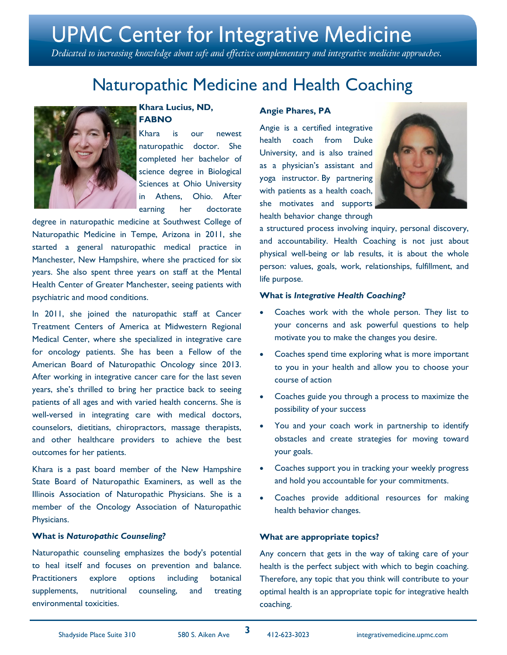Dedicated to increasing knowledge about safe and effective complementary and integrative medicine approaches.

## Naturopathic Medicine and Health Coaching



### **Khara Lucius, ND, FABNO**

Khara is our newest naturopathic doctor. She completed her bachelor of science degree in Biological Sciences at Ohio University in Athens, Ohio. After earning her doctorate

degree in naturopathic medicine at Southwest College of Naturopathic Medicine in Tempe, Arizona in 2011, she started a general naturopathic medical practice in Manchester, New Hampshire, where she practiced for six years. She also spent three years on staff at the Mental Health Center of Greater Manchester, seeing patients with psychiatric and mood conditions.

In 2011, she joined the naturopathic staff at Cancer Treatment Centers of America at Midwestern Regional Medical Center, where she specialized in integrative care for oncology patients. She has been a Fellow of the American Board of Naturopathic Oncology since 2013. After working in integrative cancer care for the last seven years, she's thrilled to bring her practice back to seeing patients of all ages and with varied health concerns. She is well-versed in integrating care with medical doctors, counselors, dietitians, chiropractors, massage therapists, and other healthcare providers to achieve the best outcomes for her patients.

Khara is a past board member of the New Hampshire State Board of Naturopathic Examiners, as well as the Illinois Association of Naturopathic Physicians. She is a member of the Oncology Association of Naturopathic Physicians.

### **What is** *Naturopathic Counseling?*

Naturopathic counseling emphasizes the body's potential to heal itself and focuses on prevention and balance. Practitioners explore options including botanical supplements, nutritional counseling, and treating environmental toxicities.

### **Angie Phares, PA**

Angie is a certified integrative health coach from Duke University, and is also trained as a physician's assistant and yoga instructor. By partnering with patients as a health coach, she motivates and supports health behavior change through



a structured process involving inquiry, personal discovery, and accountability. Health Coaching is not just about physical well-being or lab results, it is about the whole person: values, goals, work, relationships, fulfillment, and life purpose.

#### **What is** *Integrative Health Coaching?*

- Coaches work with the whole person. They list to your concerns and ask powerful questions to help motivate you to make the changes you desire.
- Coaches spend time exploring what is more important to you in your health and allow you to choose your course of action
- Coaches guide you through a process to maximize the possibility of your success
- You and your coach work in partnership to identify obstacles and create strategies for moving toward your goals.
- Coaches support you in tracking your weekly progress and hold you accountable for your commitments.
- Coaches provide additional resources for making health behavior changes.

### **What are appropriate topics?**

Any concern that gets in the way of taking care of your health is the perfect subject with which to begin coaching. Therefore, any topic that you think will contribute to your optimal health is an appropriate topic for integrative health coaching.